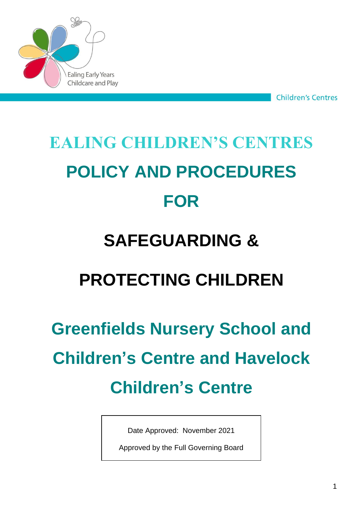

**Children's Centres** 

# **EALING CHILDREN'S CENTRES POLICY AND PROCEDURES FOR**

# **SAFEGUARDING &**

# **PROTECTING CHILDREN**

# **Greenfields Nursery School and Children's Centre and Havelock Children's Centre**

Date Approved: November 2021

Approved by the Full Governing Board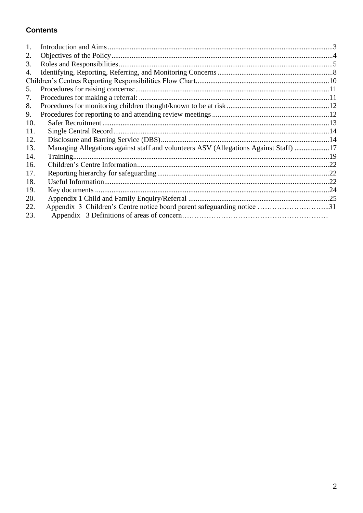#### **Contents**

| 1.  |                                                                                      |  |
|-----|--------------------------------------------------------------------------------------|--|
| 2.  |                                                                                      |  |
| 3.  |                                                                                      |  |
| 4.  |                                                                                      |  |
|     |                                                                                      |  |
| 5.  |                                                                                      |  |
| 7.  |                                                                                      |  |
| 8.  |                                                                                      |  |
| 9.  |                                                                                      |  |
| 10. |                                                                                      |  |
| 11. |                                                                                      |  |
| 12. |                                                                                      |  |
| 13. | Managing Allegations against staff and volunteers ASV (Allegations Against Staff) 17 |  |
| 14. |                                                                                      |  |
| 16. |                                                                                      |  |
| 17. |                                                                                      |  |
| 18. |                                                                                      |  |
| 19. |                                                                                      |  |
| 20. |                                                                                      |  |
| 22. | Appendix 3 Children's Centre notice board parent safeguarding notice 31              |  |
| 23. |                                                                                      |  |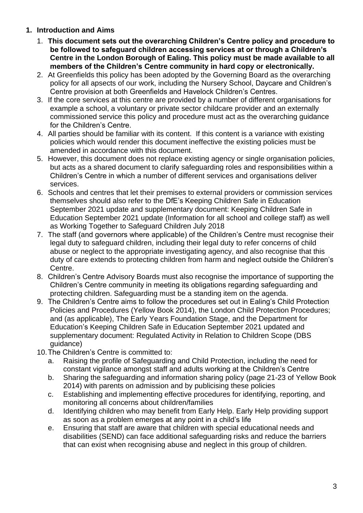#### <span id="page-2-0"></span>**1. Introduction and Aims**

- 1. **This document sets out the overarching Children's Centre policy and procedure to be followed to safeguard children accessing services at or through a Children's Centre in the London Borough of Ealing. This policy must be made available to all members of the Children's Centre community in hard copy or electronically.**
- 2. At Greenfields this policy has been adopted by the Governing Board as the overarching policy for all apsects of our work, including the Nursery School, Daycare and Children's Centre provision at both Greenfields and Havelock Children's Centres.
- 3. If the core services at this centre are provided by a number of different organisations for example a school, a voluntary or private sector childcare provider and an externally commissioned service this policy and procedure must act as the overarching guidance for the Children's Centre.
- 4. All parties should be familiar with its content. If this content is a variance with existing policies which would render this document ineffective the existing policies must be amended in accordance with this document.
- 5. However, this document does not replace existing agency or single organisation policies, but acts as a shared document to clarify safeguarding roles and responsibilities within a Children's Centre in which a number of different services and organisations deliver services.
- 6. Schools and centres that let their premises to external providers or commission services themselves should also refer to the DfE's Keeping Children Safe in Education September 2021 update and supplementary document: Keeping Children Safe in Education September 2021 update (Information for all school and college staff) as well as Working Together to Safeguard Children July 2018
- 7. The staff (and governors where applicable) of the Children's Centre must recognise their legal duty to safeguard children, including their legal duty to refer concerns of child abuse or neglect to the appropriate investigating agency, and also recognise that this duty of care extends to protecting children from harm and neglect outside the Children's Centre.
- 8. Children's Centre Advisory Boards must also recognise the importance of supporting the Children's Centre community in meeting its obligations regarding safeguarding and protecting children. Safeguarding must be a standing item on the agenda.
- 9. The Children's Centre aims to follow the procedures set out in Ealing's Child Protection Policies and Procedures (Yellow Book 2014), the London Child Protection Procedures; and (as applicable), The Early Years Foundation Stage, and the Department for Education's Keeping Children Safe in Education September 2021 updated and supplementary document: Regulated Activity in Relation to Children Scope (DBS guidance)
- 10.The Children's Centre is committed to:
	- a. Raising the profile of Safeguarding and Child Protection, including the need for constant vigilance amongst staff and adults working at the Children's Centre
	- b. Sharing the safeguarding and information sharing policy (page 21-23 of Yellow Book 2014) with parents on admission and by publicising these policies
	- c. Establishing and implementing effective procedures for identifying, reporting, and monitoring all concerns about children/families
	- d. Identifying children who may benefit from Early Help. Early Help providing support as soon as a problem emerges at any point in a child's life
	- e. Ensuring that staff are aware that children with special educational needs and disabilities (SEND) can face additional safeguarding risks and reduce the barriers that can exist when recognising abuse and neglect in this group of children.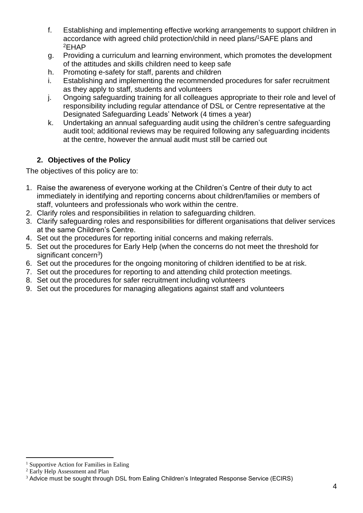- f. Establishing and implementing effective working arrangements to support children in accordance with agreed child protection/child in need plans/ <sup>1</sup>SAFE plans and <sup>2</sup>EHAP
- g. Providing a curriculum and learning environment, which promotes the development of the attitudes and skills children need to keep safe
- h. Promoting e-safety for staff, parents and children
- i. Establishing and implementing the recommended procedures for safer recruitment as they apply to staff, students and volunteers
- j. Ongoing safeguarding training for all colleagues appropriate to their role and level of responsibility including regular attendance of DSL or Centre representative at the Designated Safeguarding Leads' Network (4 times a year)
- k. Undertaking an annual safeguarding audit using the children's centre safeguarding audit tool; additional reviews may be required following any safeguarding incidents at the centre, however the annual audit must still be carried out

#### **2. Objectives of the Policy**

<span id="page-3-0"></span>The objectives of this policy are to:

- 1. Raise the awareness of everyone working at the Children's Centre of their duty to act immediately in identifying and reporting concerns about children/families or members of staff, volunteers and professionals who work within the centre.
- 2. Clarify roles and responsibilities in relation to safeguarding children.
- 3. Clarify safeguarding roles and responsibilities for different organisations that deliver services at the same Children's Centre.
- 4. Set out the procedures for reporting initial concerns and making referrals.
- 5. Set out the procedures for Early Help (when the concerns do not meet the threshold for significant concern<sup>3</sup>)
- 6. Set out the procedures for the ongoing monitoring of children identified to be at risk.
- 7. Set out the procedures for reporting to and attending child protection meetings.
- 8. Set out the procedures for safer recruitment including volunteers
- 9. Set out the procedures for managing allegations against staff and volunteers

<sup>&</sup>lt;sup>1</sup> Supportive Action for Families in Ealing

<sup>2</sup> Early Help Assessment and Plan

<sup>&</sup>lt;sup>3</sup> Advice must be sought through DSL from Ealing Children's Integrated Response Service (ECIRS)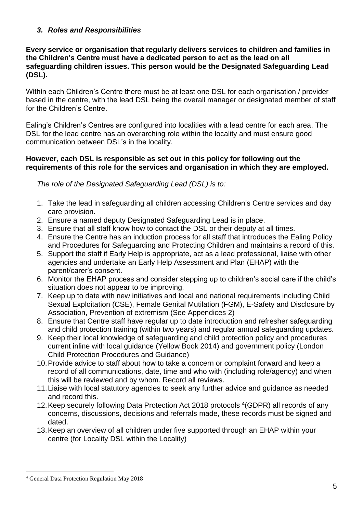#### <span id="page-4-0"></span>*3. Roles and Responsibilities*

#### **Every service or organisation that regularly delivers services to children and families in the Children's Centre must have a dedicated person to act as the lead on all safeguarding children issues. This person would be the Designated Safeguarding Lead (DSL).**

Within each Children's Centre there must be at least one DSL for each organisation / provider based in the centre, with the lead DSL being the overall manager or designated member of staff for the Children's Centre.

Ealing's Children's Centres are configured into localities with a lead centre for each area. The DSL for the lead centre has an overarching role within the locality and must ensure good communication between DSL's in the locality.

#### **However, each DSL is responsible as set out in this policy for following out the requirements of this role for the services and organisation in which they are employed.**

*The role of the Designated Safeguarding Lead (DSL) is to:*

- 1. Take the lead in safeguarding all children accessing Children's Centre services and day care provision.
- 2. Ensure a named deputy Designated Safeguarding Lead is in place.
- 3. Ensure that all staff know how to contact the DSL or their deputy at all times.
- 4. Ensure the Centre has an induction process for all staff that introduces the Ealing Policy and Procedures for Safeguarding and Protecting Children and maintains a record of this.
- 5. Support the staff if Early Help is appropriate, act as a lead professional, liaise with other agencies and undertake an Early Help Assessment and Plan (EHAP) with the parent/carer's consent.
- 6. Monitor the EHAP process and consider stepping up to children's social care if the child's situation does not appear to be improving.
- 7. Keep up to date with new initiatives and local and national requirements including Child Sexual Exploitation (CSE), Female Genital Mutilation (FGM), E-Safety and Disclosure by Association, Prevention of extremism (See Appendices 2)
- 8. Ensure that Centre staff have regular up to date introduction and refresher safeguarding and child protection training (within two years) and regular annual safeguarding updates.
- 9. Keep their local knowledge of safeguarding and child protection policy and procedures current inline with local guidance (Yellow Book 2014) and government policy (London Child Protection Procedures and Guidance)
- 10.Provide advice to staff about how to take a concern or complaint forward and keep a record of all communications, date, time and who with (including role/agency) and when this will be reviewed and by whom. Record all reviews.
- 11.Liaise with local statutory agencies to seek any further advice and guidance as needed and record this.
- 12. Keep securely following Data Protection Act 2018 protocols <sup>4</sup> (GDPR) all records of any concerns, discussions, decisions and referrals made, these records must be signed and dated.
- 13.Keep an overview of all children under five supported through an EHAP within your centre (for Locality DSL within the Locality)

<sup>4</sup> General Data Protection Regulation May 2018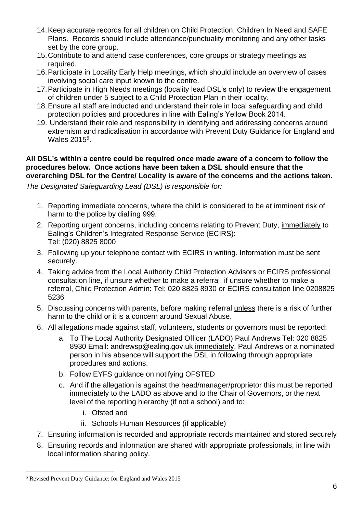- 14.Keep accurate records for all children on Child Protection, Children In Need and SAFE Plans. Records should include attendance/punctuality monitoring and any other tasks set by the core group.
- 15.Contribute to and attend case conferences, core groups or strategy meetings as required.
- 16.Participate in Locality Early Help meetings, which should include an overview of cases involving social care input known to the centre.
- 17.Participate in High Needs meetings (locality lead DSL's only) to review the engagement of children under 5 subject to a Child Protection Plan in their locality.
- 18.Ensure all staff are inducted and understand their role in local safeguarding and child protection policies and procedures in line with Ealing's Yellow Book 2014.
- 19. Understand their role and responsibility in identifying and addressing concerns around extremism and radicalisation in accordance with Prevent Duty Guidance for England and Wales 2015<sup>5</sup>.

#### **All DSL's within a centre could be required once made aware of a concern to follow the procedures below. Once actions have been taken a DSL should ensure that the overarching DSL for the Centre/ Locality is aware of the concerns and the actions taken.**

*The Designated Safeguarding Lead (DSL) is responsible for:*

- 1. Reporting immediate concerns, where the child is considered to be at imminent risk of harm to the police by dialling 999.
- 2. Reporting urgent concerns, including concerns relating to Prevent Duty, immediately to Ealing's Children's Integrated Response Service (ECIRS): Tel: (020) 8825 8000
- 3. Following up your telephone contact with ECIRS in writing. Information must be sent securely.
- 4. Taking advice from the Local Authority Child Protection Advisors or ECIRS professional consultation line, if unsure whether to make a referral, if unsure whether to make a referral, Child Protection Admin: Tel: 020 8825 8930 or ECIRS consultation line 0208825 5236
- 5. Discussing concerns with parents, before making referral unless there is a risk of further harm to the child or it is a concern around Sexual Abuse.
- 6. All allegations made against staff, volunteers, students or governors must be reported:
	- a. To The Local Authority Designated Officer (LADO) Paul Andrews Tel: 020 8825 8930 Email: andrewsp@ealing.gov.uk immediately, Paul Andrews or a nominated person in his absence will support the DSL in following through appropriate procedures and actions.
	- b. Follow EYFS guidance on notifying OFSTED
	- c. And if the allegation is against the head/manager/proprietor this must be reported immediately to the LADO as above and to the Chair of Governors, or the next level of the reporting hierarchy (if not a school) and to:
		- i. Ofsted and
		- ii. Schools Human Resources (if applicable)
- 7. Ensuring information is recorded and appropriate records maintained and stored securely
- 8. Ensuring records and information are shared with appropriate professionals, in line with local information sharing policy.

<sup>5</sup> Revised Prevent Duty Guidance: for England and Wales 2015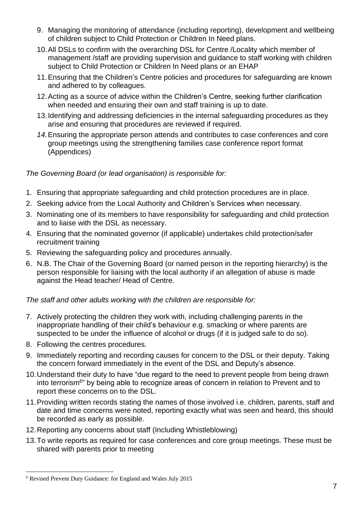- 9. Managing the monitoring of attendance (including reporting), development and wellbeing of children subject to Child Protection or Children In Need plans.
- 10.All DSLs to confirm with the overarching DSL for Centre /Locality which member of management /staff are providing supervision and guidance to staff working with children subject to Child Protection or Children In Need plans or an EHAP
- 11.Ensuring that the Children's Centre policies and procedures for safeguarding are known and adhered to by colleagues.
- 12.Acting as a source of advice within the Children's Centre, seeking further clarification when needed and ensuring their own and staff training is up to date.
- 13.Identifying and addressing deficiencies in the internal safeguarding procedures as they arise and ensuring that procedures are reviewed if required.
- *14.*Ensuring the appropriate person attends and contributes to case conferences and core group meetings using the strengthening families case conference report format (Appendices)

#### *The Governing Board (or lead organisation) is responsible for:*

- 1. Ensuring that appropriate safeguarding and child protection procedures are in place.
- 2. Seeking advice from the Local Authority and Children's Services when necessary.
- 3. Nominating one of its members to have responsibility for safeguarding and child protection and to liaise with the DSL as necessary.
- 4. Ensuring that the nominated governor (if applicable) undertakes child protection/safer recruitment training
- 5. Reviewing the safeguarding policy and procedures annually.
- 6. N.B. The Chair of the Governing Board (or named person in the reporting hierarchy) is the person responsible for liaising with the local authority if an allegation of abuse is made against the Head teacher/ Head of Centre.

#### *The staff and other adults working with the children are responsible for:*

- 7. Actively protecting the children they work with, including challenging parents in the inappropriate handling of their child's behaviour e.g. smacking or where parents are suspected to be under the influence of alcohol or drugs (if it is judged safe to do so).
- 8. Following the centres procedures.
- 9. Immediately reporting and recording causes for concern to the DSL or their deputy. Taking the concern forward immediately in the event of the DSL and Deputy's absence.
- 10.Understand their duty to have "due regard to the need to prevent people from being drawn into terrorism<sup>6</sup>" by being able to recognize areas of concern in relation to Prevent and to report these concerns on to the DSL.
- 11.Providing written records stating the names of those involved i.e. children, parents, staff and date and time concerns were noted, reporting exactly what was seen and heard, this should be recorded as early as possible.
- 12.Reporting any concerns about staff (Including Whistleblowing)
- 13.To write reports as required for case conferences and core group meetings. These must be shared with parents prior to meeting

<sup>6</sup> Revised Prevent Duty Guidance: for England and Wales July 2015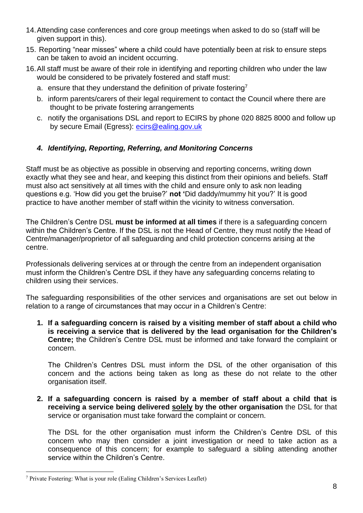- 14.Attending case conferences and core group meetings when asked to do so (staff will be given support in this).
- 15. Reporting "near misses" where a child could have potentially been at risk to ensure steps can be taken to avoid an incident occurring.
- 16.All staff must be aware of their role in identifying and reporting children who under the law would be considered to be privately fostered and staff must:
	- a. ensure that they understand the definition of private fostering<sup>7</sup>
	- b. inform parents/carers of their legal requirement to contact the Council where there are thought to be private fostering arrangements
	- c. notify the organisations DSL and report to ECIRS by phone 020 8825 8000 and follow up by secure Email (Egress): [ecirs@ealing.gov.uk](mailto:ecirs@ealing.gov.uk)

#### <span id="page-7-0"></span>*4. Identifying, Reporting, Referring, and Monitoring Concerns*

Staff must be as objective as possible in observing and reporting concerns, writing down exactly what they see and hear, and keeping this distinct from their opinions and beliefs. Staff must also act sensitively at all times with the child and ensure only to ask non leading questions e.g. 'How did you get the bruise?' **not '**Did daddy/mummy hit you?' It is good practice to have another member of staff within the vicinity to witness conversation.

The Children's Centre DSL **must be informed at all times** if there is a safeguarding concern within the Children's Centre. If the DSL is not the Head of Centre, they must notify the Head of Centre/manager/proprietor of all safeguarding and child protection concerns arising at the centre.

Professionals delivering services at or through the centre from an independent organisation must inform the Children's Centre DSL if they have any safeguarding concerns relating to children using their services.

The safeguarding responsibilities of the other services and organisations are set out below in relation to a range of circumstances that may occur in a Children's Centre:

**1. If a safeguarding concern is raised by a visiting member of staff about a child who is receiving a service that is delivered by the lead organisation for the Children's Centre;** the Children's Centre DSL must be informed and take forward the complaint or concern.

The Children's Centres DSL must inform the DSL of the other organisation of this concern and the actions being taken as long as these do not relate to the other organisation itself.

**2. If a safeguarding concern is raised by a member of staff about a child that is receiving a service being delivered solely by the other organisation** the DSL for that service or organisation must take forward the complaint or concern.

The DSL for the other organisation must inform the Children's Centre DSL of this concern who may then consider a joint investigation or need to take action as a consequence of this concern; for example to safeguard a sibling attending another service within the Children's Centre.

<sup>7</sup> Private Fostering: What is your role (Ealing Children's Services Leaflet)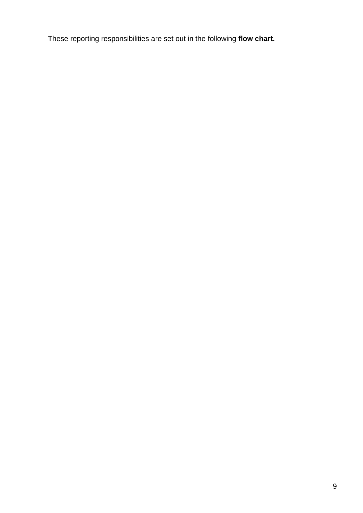These reporting responsibilities are set out in the following **flow chart.**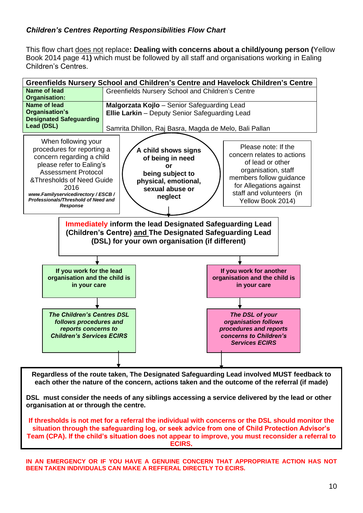#### <span id="page-9-0"></span>*Children's Centres Reporting Responsibilities Flow Chart*

This flow chart does not replace**: Dealing with concerns about a child/young person (**Yellow Book 2014 page 41**)** which must be followed by all staff and organisations working in Ealing Children's Centres.



**Regardless of the route taken, The Designated Safeguarding Lead involved MUST feedback to each other the nature of the concern, actions taken and the outcome of the referral (if made)**

**DSL must consider the needs of any siblings accessing a service delivered by the lead or other organisation at or through the centre.**

**If thresholds is not met for a referral the individual with concerns or the DSL should monitor the situation through the safeguarding log, or seek advice from one of Child Protection Advisor's Team (CPA). If the child's situation does not appear to improve, you must reconsider a referral to ECIRS,** 

**IN AN EMERGENCY OR IF YOU HAVE A GENUINE CONCERN THAT APPROPRIATE ACTION HAS NOT BEEN TAKEN INDIVIDUALS CAN MAKE A REFFERAL DIRECTLY TO ECIRS.**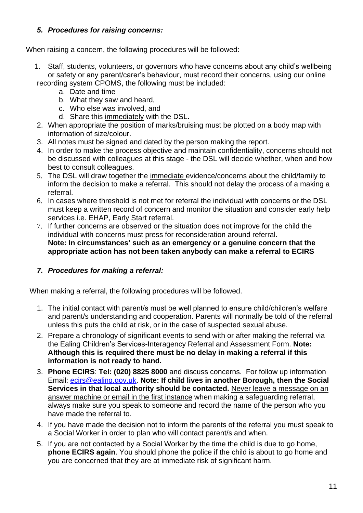#### <span id="page-10-0"></span>*5. Procedures for raising concerns:*

When raising a concern, the following procedures will be followed:

- 1. Staff, students, volunteers, or governors who have concerns about any child's wellbeing or safety or any parent/carer's behaviour, must record their concerns, using our online recording system CPOMS, the following must be included:
	- a. Date and time
	- b. What they saw and heard,
	- c. Who else was involved, and
	- d. Share this immediately with the DSL.
- 2. When appropriate the position of marks/bruising must be plotted on a body map with information of size/colour.
- 3. All notes must be signed and dated by the person making the report.
- 4. In order to make the process objective and maintain confidentiality, concerns should not be discussed with colleagues at this stage - the DSL will decide whether, when and how best to consult colleagues.
- 5. The DSL will draw together the immediate evidence/concerns about the child/family to inform the decision to make a referral. This should not delay the process of a making a referral.
- 6. In cases where threshold is not met for referral the individual with concerns or the DSL must keep a written record of concern and monitor the situation and consider early help services i.e. EHAP, Early Start referral.
- 7. If further concerns are observed or the situation does not improve for the child the individual with concerns must press for reconsideration around referral. **Note: In circumstances' such as an emergency or a genuine concern that the appropriate action has not been taken anybody can make a referral to ECIRS**

#### <span id="page-10-1"></span>*7. Procedures for making a referral:*

When making a referral, the following procedures will be followed.

- 1. The initial contact with parent/s must be well planned to ensure child/children's welfare and parent/s understanding and cooperation. Parents will normally be told of the referral unless this puts the child at risk, or in the case of suspected sexual abuse.
- 2. Prepare a chronology of significant events to send with or after making the referral via the Ealing Children's Services-Interagency Referral and Assessment Form. **Note: Although this is required there must be no delay in making a referral if this information is not ready to hand.**
- 3. **Phone ECIRS**: **Tel: (020) 8825 8000** and discuss concerns. For follow up information Email: [ecirs@ealing.gov.uk.](mailto:ecirs@ealing.gov.uk) **Note: If child lives in another Borough, then the Social Services in that local authority should be contacted.** Never leave a message on an answer machine or email in the first instance when making a safeguarding referral, always make sure you speak to someone and record the name of the person who you have made the referral to.
- 4. If you have made the decision not to inform the parents of the referral you must speak to a Social Worker in order to plan who will contact parent/s and when.
- 5. If you are not contacted by a Social Worker by the time the child is due to go home, **phone ECIRS again**. You should phone the police if the child is about to go home and you are concerned that they are at immediate risk of significant harm.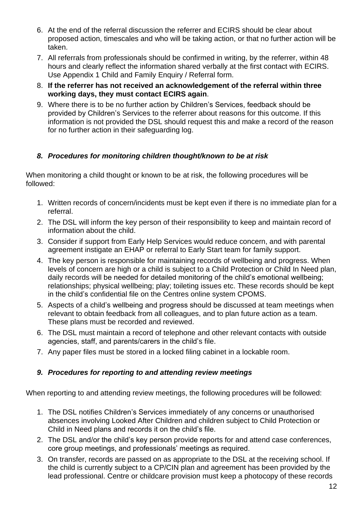- 6. At the end of the referral discussion the referrer and ECIRS should be clear about proposed action, timescales and who will be taking action, or that no further action will be taken.
- 7. All referrals from professionals should be confirmed in writing, by the referrer, within 48 hours and clearly reflect the information shared verbally at the first contact with ECIRS. Use Appendix 1 Child and Family Enquiry / Referral form.
- 8. **If the referrer has not received an acknowledgement of the referral within three working days, they must contact ECIRS again**.
- 9. Where there is to be no further action by Children's Services, feedback should be provided by Children's Services to the referrer about reasons for this outcome. If this information is not provided the DSL should request this and make a record of the reason for no further action in their safeguarding log.

#### <span id="page-11-0"></span>*8. Procedures for monitoring children thought/known to be at risk*

When monitoring a child thought or known to be at risk, the following procedures will be followed:

- 1. Written records of concern/incidents must be kept even if there is no immediate plan for a referral.
- 2. The DSL will inform the key person of their responsibility to keep and maintain record of information about the child.
- 3. Consider if support from Early Help Services would reduce concern, and with parental agreement instigate an EHAP or referral to Early Start team for family support.
- 4. The key person is responsible for maintaining records of wellbeing and progress. When levels of concern are high or a child is subject to a Child Protection or Child In Need plan, daily records will be needed for detailed monitoring of the child's emotional wellbeing; relationships; physical wellbeing; play; toileting issues etc. These records should be kept in the child's confidential file on the Centres online system CPOMS.
- 5. Aspects of a child's wellbeing and progress should be discussed at team meetings when relevant to obtain feedback from all colleagues, and to plan future action as a team. These plans must be recorded and reviewed.
- 6. The DSL must maintain a record of telephone and other relevant contacts with outside agencies, staff, and parents/carers in the child's file.
- 7. Any paper files must be stored in a locked filing cabinet in a lockable room.

#### <span id="page-11-1"></span>*9. Procedures for reporting to and attending review meetings*

When reporting to and attending review meetings, the following procedures will be followed:

- 1. The DSL notifies Children's Services immediately of any concerns or unauthorised absences involving Looked After Children and children subject to Child Protection or Child in Need plans and records it on the child's file.
- 2. The DSL and/or the child's key person provide reports for and attend case conferences, core group meetings, and professionals' meetings as required.
- 3. On transfer, records are passed on as appropriate to the DSL at the receiving school. If the child is currently subject to a CP/CIN plan and agreement has been provided by the lead professional. Centre or childcare provision must keep a photocopy of these records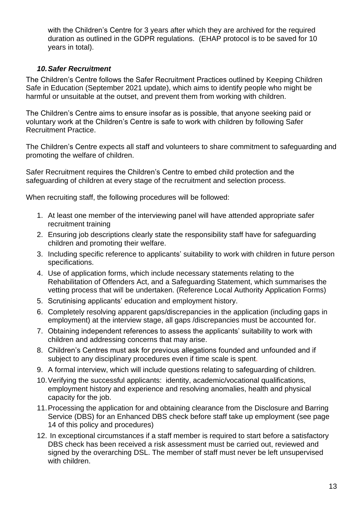with the Children's Centre for 3 years after which they are archived for the required duration as outlined in the GDPR regulations. (EHAP protocol is to be saved for 10 years in total).

#### *10.Safer Recruitment*

<span id="page-12-0"></span>The Children's Centre follows the Safer Recruitment Practices outlined by Keeping Children Safe in Education (September 2021 update), which aims to identify people who might be harmful or unsuitable at the outset, and prevent them from working with children.

The Children's Centre aims to ensure insofar as is possible, that anyone seeking paid or voluntary work at the Children's Centre is safe to work with children by following Safer Recruitment Practice.

The Children's Centre expects all staff and volunteers to share commitment to safeguarding and promoting the welfare of children.

Safer Recruitment requires the Children's Centre to embed child protection and the safeguarding of children at every stage of the recruitment and selection process.

When recruiting staff, the following procedures will be followed:

- 1. At least one member of the interviewing panel will have attended appropriate safer recruitment training
- 2. Ensuring job descriptions clearly state the responsibility staff have for safeguarding children and promoting their welfare.
- 3. Including specific reference to applicants' suitability to work with children in future person specifications.
- 4. Use of application forms, which include necessary statements relating to the Rehabilitation of Offenders Act, and a Safeguarding Statement, which summarises the vetting process that will be undertaken. (Reference Local Authority Application Forms)
- 5. Scrutinising applicants' education and employment history.
- 6. Completely resolving apparent gaps/discrepancies in the application (including gaps in employment) at the interview stage, all gaps /discrepancies must be accounted for.
- 7. Obtaining independent references to assess the applicants' suitability to work with children and addressing concerns that may arise.
- 8. Children's Centres must ask for previous allegations founded and unfounded and if subject to any disciplinary procedures even if time scale is spent.
- 9. A formal interview, which will include questions relating to safeguarding of children.
- 10.Verifying the successful applicants: identity, academic/vocational qualifications, employment history and experience and resolving anomalies, health and physical capacity for the job.
- 11.Processing the application for and obtaining clearance from the Disclosure and Barring Service (DBS) for an Enhanced DBS check before staff take up employment (see page 14 of this policy and procedures)
- 12. In exceptional circumstances if a staff member is required to start before a satisfactory DBS check has been received a risk assessment must be carried out, reviewed and signed by the overarching DSL. The member of staff must never be left unsupervised with children.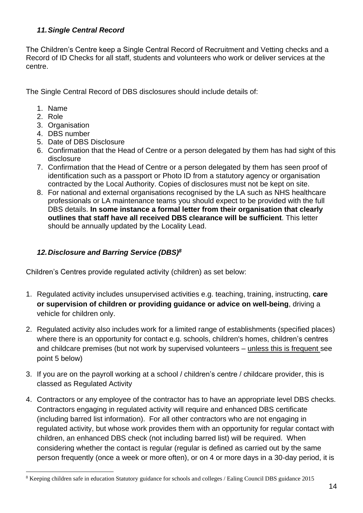#### <span id="page-13-0"></span>*11.Single Central Record*

The Children's Centre keep a Single Central Record of Recruitment and Vetting checks and a Record of ID Checks for all staff, students and volunteers who work or deliver services at the centre.

The Single Central Record of DBS disclosures should include details of:

- 1. Name
- 2. Role
- 3. Organisation
- 4. DBS number
- 5. Date of DBS Disclosure
- 6. Confirmation that the Head of Centre or a person delegated by them has had sight of this disclosure
- 7. Confirmation that the Head of Centre or a person delegated by them has seen proof of identification such as a passport or Photo ID from a statutory agency or organisation contracted by the Local Authority. Copies of disclosures must not be kept on site.
- 8. For national and external organisations recognised by the LA such as NHS healthcare professionals or LA maintenance teams you should expect to be provided with the full DBS details. **In some instance a formal letter from their organisation that clearly outlines that staff have all received DBS clearance will be sufficient**. This letter should be annually updated by the Locality Lead.

#### <span id="page-13-1"></span>*12.Disclosure and Barring Service (DBS)<sup>8</sup>*

Children's Centres provide regulated activity (children) as set below:

- 1. Regulated activity includes unsupervised activities e.g. teaching, training, instructing, **care or supervision of children or providing guidance or advice on well-being**, driving a vehicle for children only.
- 2. Regulated activity also includes work for a limited range of establishments (specified places) where there is an opportunity for contact e.g. schools, children's homes, children's centres and childcare premises (but not work by supervised volunteers – unless this is frequent see point 5 below)
- 3. If you are on the payroll working at a school / children's centre / childcare provider, this is classed as Regulated Activity
- 4. Contractors or any employee of the contractor has to have an appropriate level DBS checks. Contractors engaging in regulated activity will require and enhanced DBS certificate (including barred list information). For all other contractors who are not engaging in regulated activity, but whose work provides them with an opportunity for regular contact with children, an enhanced DBS check (not including barred list) will be required. When considering whether the contact is regular (regular is defined as carried out by the same person frequently (once a week or more often), or on 4 or more days in a 30-day period, it is

<sup>8</sup> Keeping children safe in education Statutory guidance for schools and colleges / Ealing Council DBS guidance 2015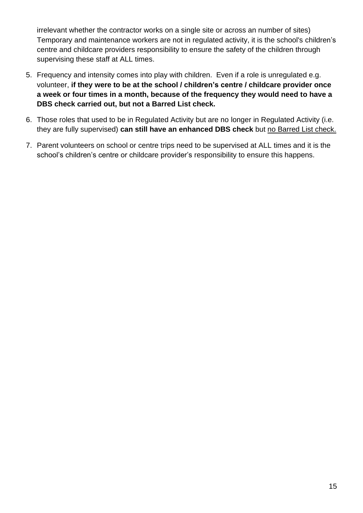irrelevant whether the contractor works on a single site or across an number of sites) Temporary and maintenance workers are not in regulated activity, it is the school's children's centre and childcare providers responsibility to ensure the safety of the children through supervising these staff at ALL times.

- 5. Frequency and intensity comes into play with children. Even if a role is unregulated e.g. volunteer, **if they were to be at the school / children's centre / childcare provider once a week or four times in a month, because of the frequency they would need to have a DBS check carried out, but not a Barred List check.**
- 6. Those roles that used to be in Regulated Activity but are no longer in Regulated Activity (i.e. they are fully supervised) **can still have an enhanced DBS check** but no Barred List check.
- 7. Parent volunteers on school or centre trips need to be supervised at ALL times and it is the school's children's centre or childcare provider's responsibility to ensure this happens.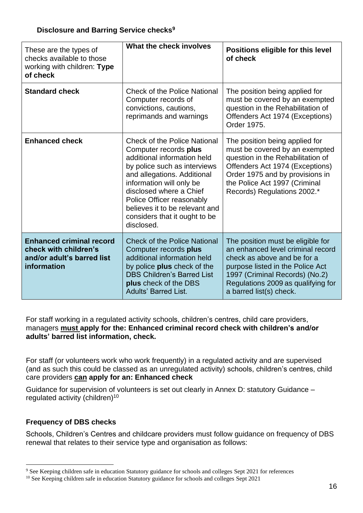#### **Disclosure and Barring Service checks<sup>9</sup>**

| These are the types of<br>checks available to those<br>working with children: Type<br>of check        | What the check involves                                                                                                                                                                                                                                                                                                         | Positions eligible for this level<br>of check                                                                                                                                                                                                |
|-------------------------------------------------------------------------------------------------------|---------------------------------------------------------------------------------------------------------------------------------------------------------------------------------------------------------------------------------------------------------------------------------------------------------------------------------|----------------------------------------------------------------------------------------------------------------------------------------------------------------------------------------------------------------------------------------------|
| <b>Standard check</b>                                                                                 | <b>Check of the Police National</b><br>Computer records of<br>convictions, cautions,<br>reprimands and warnings                                                                                                                                                                                                                 | The position being applied for<br>must be covered by an exempted<br>question in the Rehabilitation of<br>Offenders Act 1974 (Exceptions)<br>Order 1975.                                                                                      |
| <b>Enhanced check</b>                                                                                 | <b>Check of the Police National</b><br>Computer records plus<br>additional information held<br>by police such as interviews<br>and allegations. Additional<br>information will only be<br>disclosed where a Chief<br>Police Officer reasonably<br>believes it to be relevant and<br>considers that it ought to be<br>disclosed. | The position being applied for<br>must be covered by an exempted<br>question in the Rehabilitation of<br>Offenders Act 1974 (Exceptions)<br>Order 1975 and by provisions in<br>the Police Act 1997 (Criminal<br>Records) Regulations 2002.*  |
| <b>Enhanced criminal record</b><br>check with children's<br>and/or adult's barred list<br>information | <b>Check of the Police National</b><br>Computer records plus<br>additional information held<br>by police plus check of the<br><b>DBS Children's Barred List</b><br>plus check of the DBS<br><b>Adults' Barred List.</b>                                                                                                         | The position must be eligible for<br>an enhanced level criminal record<br>check as above and be for a<br>purpose listed in the Police Act<br>1997 (Criminal Records) (No.2)<br>Regulations 2009 as qualifying for<br>a barred list(s) check. |

For staff working in a regulated activity schools, children's centres, child care providers, managers **must apply for the: Enhanced criminal record check with children's and/or adults' barred list information, check.**

For staff (or volunteers work who work frequently) in a regulated activity and are supervised (and as such this could be classed as an unregulated activity) schools, children's centres, child care providers **can apply for an: Enhanced check**

Guidance for supervision of volunteers is set out clearly in Annex D: statutory Guidance – regulated activity (children)<sup>10</sup>

#### **Frequency of DBS checks**

Schools, Children's Centres and childcare providers must follow guidance on frequency of DBS renewal that relates to their service type and organisation as follows:

<sup>9</sup> See Keeping children safe in education Statutory guidance for schools and colleges Sept 2021 for references

<sup>&</sup>lt;sup>10</sup> See Keeping children safe in education Statutory guidance for schools and colleges Sept 2021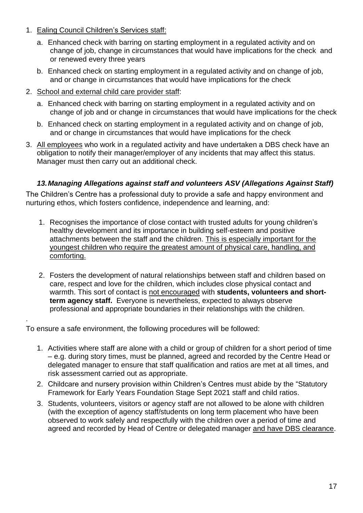- 1. Ealing Council Children's Services staff:
	- a. Enhanced check with barring on starting employment in a regulated activity and on change of job, change in circumstances that would have implications for the check and or renewed every three years
	- b. Enhanced check on starting employment in a regulated activity and on change of job, and or change in circumstances that would have implications for the check
- 2. School and external child care provider staff:
	- a. Enhanced check with barring on starting employment in a regulated activity and on change of job and or change in circumstances that would have implications for the check
	- b. Enhanced check on starting employment in a regulated activity and on change of job, and or change in circumstances that would have implications for the check
- 3. All employees who work in a regulated activity and have undertaken a DBS check have an obligation to notify their manager/employer of any incidents that may affect this status. Manager must then carry out an additional check.

#### *13.Managing Allegations against staff and volunteers ASV (Allegations Against Staff)*

<span id="page-16-0"></span>The Children's Centre has a professional duty to provide a safe and happy environment and nurturing ethos, which fosters confidence, independence and learning, and:

- 1. Recognises the importance of close contact with trusted adults for young children's healthy development and its importance in building self-esteem and positive attachments between the staff and the children. This is especially important for the youngest children who require the greatest amount of physical care, handling, and comforting.
- 2. Fosters the development of natural relationships between staff and children based on care, respect and love for the children, which includes close physical contact and warmth. This sort of contact is not encouraged with **students, volunteers and shortterm agency staff.** Everyone is nevertheless, expected to always observe professional and appropriate boundaries in their relationships with the children.

To ensure a safe environment, the following procedures will be followed:

.

- 1. Activities where staff are alone with a child or group of children for a short period of time – e.g. during story times, must be planned, agreed and recorded by the Centre Head or delegated manager to ensure that staff qualification and ratios are met at all times, and risk assessment carried out as appropriate.
- 2. Childcare and nursery provision within Children's Centres must abide by the "Statutory Framework for Early Years Foundation Stage Sept 2021 staff and child ratios.
- 3. Students, volunteers, visitors or agency staff are not allowed to be alone with children (with the exception of agency staff/students on long term placement who have been observed to work safely and respectfully with the children over a period of time and agreed and recorded by Head of Centre or delegated manager and have DBS clearance.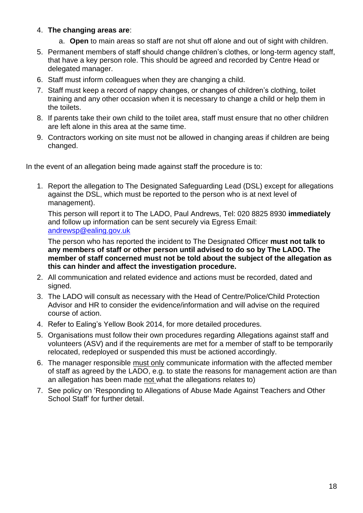#### 4. **The changing areas are**:

- a. **Open** to main areas so staff are not shut off alone and out of sight with children.
- 5. Permanent members of staff should change children's clothes, or long-term agency staff, that have a key person role. This should be agreed and recorded by Centre Head or delegated manager.
- 6. Staff must inform colleagues when they are changing a child.
- 7. Staff must keep a record of nappy changes, or changes of children's clothing, toilet training and any other occasion when it is necessary to change a child or help them in the toilets.
- 8. If parents take their own child to the toilet area, staff must ensure that no other children are left alone in this area at the same time.
- 9. Contractors working on site must not be allowed in changing areas if children are being changed.

In the event of an allegation being made against staff the procedure is to:

1. Report the allegation to The Designated Safeguarding Lead (DSL) except for allegations against the DSL, which must be reported to the person who is at next level of management).

This person will report it to The LADO, Paul Andrews, Tel: 020 8825 8930 **immediately** and follow up information can be sent securely via Egress Email: [andrewsp@ealing.gov.uk](mailto:andrewsp@ealing.gov.uk)

The person who has reported the incident to The Designated Officer **must not talk to any members of staff or other person until advised to do so by The LADO. The member of staff concerned must not be told about the subject of the allegation as this can hinder and affect the investigation procedure.**

- 2. All communication and related evidence and actions must be recorded, dated and signed.
- 3. The LADO will consult as necessary with the Head of Centre/Police/Child Protection Advisor and HR to consider the evidence/information and will advise on the required course of action.
- 4. Refer to Ealing's Yellow Book 2014, for more detailed procedures.
- 5. Organisations must follow their own procedures regarding Allegations against staff and volunteers (ASV) and if the requirements are met for a member of staff to be temporarily relocated, redeployed or suspended this must be actioned accordingly.
- 6. The manager responsible must only communicate information with the affected member of staff as agreed by the LADO, e.g. to state the reasons for management action are than an allegation has been made not what the allegations relates to)
- 7. See policy on 'Responding to Allegations of Abuse Made Against Teachers and Other School Staff' for further detail.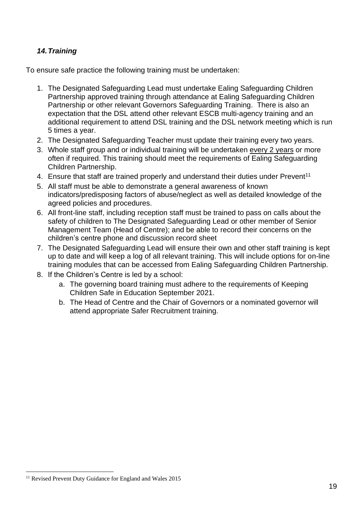#### <span id="page-18-0"></span>*14.Training*

To ensure safe practice the following training must be undertaken:

- 1. The Designated Safeguarding Lead must undertake Ealing Safeguarding Children Partnership approved training through attendance at Ealing Safeguarding Children Partnership or other relevant Governors Safeguarding Training. There is also an expectation that the DSL attend other relevant ESCB multi-agency training and an additional requirement to attend DSL training and the DSL network meeting which is run 5 times a year.
- 2. The Designated Safeguarding Teacher must update their training every two years.
- 3. Whole staff group and or individual training will be undertaken every 2 years or more often if required. This training should meet the requirements of Ealing Safeguarding Children Partnership.
- 4. Ensure that staff are trained properly and understand their duties under Prevent<sup>11</sup>
- 5. All staff must be able to demonstrate a general awareness of known indicators/predisposing factors of abuse/neglect as well as detailed knowledge of the agreed policies and procedures.
- 6. All front-line staff, including reception staff must be trained to pass on calls about the safety of children to The Designated Safeguarding Lead or other member of Senior Management Team (Head of Centre); and be able to record their concerns on the children's centre phone and discussion record sheet
- 7. The Designated Safeguarding Lead will ensure their own and other staff training is kept up to date and will keep a log of all relevant training. This will include options for on-line training modules that can be accessed from Ealing Safeguarding Children Partnership.
- 8. If the Children's Centre is led by a school:
	- a. The governing board training must adhere to the requirements of Keeping Children Safe in Education September 2021.
	- b. The Head of Centre and the Chair of Governors or a nominated governor will attend appropriate Safer Recruitment training.

<sup>&</sup>lt;sup>11</sup> Revised Prevent Duty Guidance for England and Wales 2015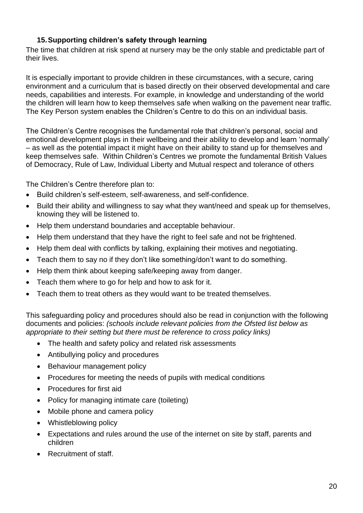#### **15.Supporting children's safety through learning**

The time that children at risk spend at nursery may be the only stable and predictable part of their lives.

It is especially important to provide children in these circumstances, with a secure, caring environment and a curriculum that is based directly on their observed developmental and care needs, capabilities and interests. For example, in knowledge and understanding of the world the children will learn how to keep themselves safe when walking on the pavement near traffic. The Key Person system enables the Children's Centre to do this on an individual basis.

The Children's Centre recognises the fundamental role that children's personal, social and emotional development plays in their wellbeing and their ability to develop and learn 'normally' – as well as the potential impact it might have on their ability to stand up for themselves and keep themselves safe. Within Children's Centres we promote the fundamental British Values of Democracy, Rule of Law, Individual Liberty and Mutual respect and tolerance of others

The Children's Centre therefore plan to:

- Build children's self-esteem, self-awareness, and self-confidence.
- Build their ability and willingness to say what they want/need and speak up for themselves, knowing they will be listened to.
- Help them understand boundaries and acceptable behaviour.
- Help them understand that they have the right to feel safe and not be frightened.
- Help them deal with conflicts by talking, explaining their motives and negotiating.
- Teach them to say no if they don't like something/don't want to do something.
- Help them think about keeping safe/keeping away from danger.
- Teach them where to go for help and how to ask for it.
- Teach them to treat others as they would want to be treated themselves.

This safeguarding policy and procedures should also be read in conjunction with the following documents and policies: *(schools include relevant policies from the Ofsted list below as appropriate to their setting but there must be reference to cross policy links)* 

- The health and safety policy and related risk assessments
- Antibullying policy and procedures
- Behaviour management policy
- Procedures for meeting the needs of pupils with medical conditions
- Procedures for first aid
- Policy for managing intimate care (toileting)
- Mobile phone and camera policy
- Whistleblowing policy
- Expectations and rules around the use of the internet on site by staff, parents and children
- Recruitment of staff.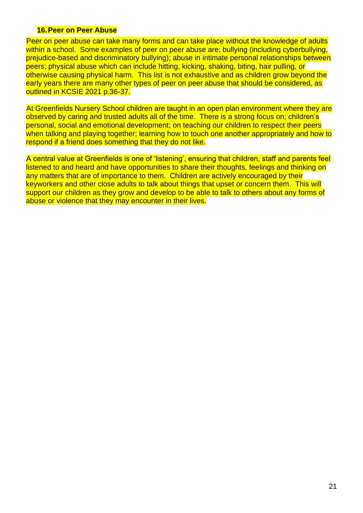#### **16.Peer on Peer Abuse**

Peer on peer abuse can take many forms and can take place without the knowledge of adults within a school. Some examples of peer on peer abuse are; bullying (including cyberbullying, prejudice-based and discriminatory bullying); abuse in intimate personal relationships between peers; physical abuse which can include hitting, kicking, shaking, biting, hair pulling, or otherwise causing physical harm. This list is not exhaustive and as children grow beyond the early years there are many other types of peer on peer abuse that should be considered, as outlined in KCSIE 2021 p.36-37.

At Greenfields Nursery School children are taught in an open plan environment where they are observed by caring and trusted adults all of the time. There is a strong focus on; children's personal, social and emotional development; on teaching our children to respect their peers when talking and playing together; learning how to touch one another appropriately and how to respond if a friend does something that they do not like.

A central value at Greenfields is one of 'listening', ensuring that children, staff and parents feel listened to and heard and have opportunities to share their thoughts, feelings and thinking on any matters that are of importance to them. Children are actively encouraged by their keyworkers and other close adults to talk about things that upset or concern them. This will support our children as they grow and develop to be able to talk to others about any forms of abuse or violence that they may encounter in their lives.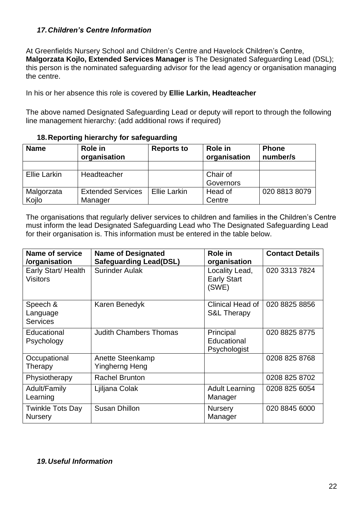#### <span id="page-21-0"></span>*17.Children's Centre Information*

At Greenfields Nursery School and Children's Centre and Havelock Children's Centre, **Malgorzata Kojlo, Extended Services Manager** is The Designated Safeguarding Lead (DSL); this person is the nominated safeguarding advisor for the lead agency or organisation managing the centre.

In his or her absence this role is covered by **Ellie Larkin, Headteacher**

The above named Designated Safeguarding Lead or deputy will report to through the following line management hierarchy: (add additional rows if required)

|  |  | 18. Reporting hierarchy for safeguarding |
|--|--|------------------------------------------|
|--|--|------------------------------------------|

<span id="page-21-1"></span>

| <b>Name</b>         | Role in<br>organisation  | <b>Reports to</b>   | Role in<br>organisation | <b>Phone</b><br>number/s |
|---------------------|--------------------------|---------------------|-------------------------|--------------------------|
|                     |                          |                     |                         |                          |
| <b>Ellie Larkin</b> | Headteacher              |                     | Chair of                |                          |
|                     |                          |                     | Governors               |                          |
| Malgorzata          | <b>Extended Services</b> | <b>Ellie Larkin</b> | Head of                 | 020 8813 8079            |
| Kojlo               | Manager                  |                     | Centre                  |                          |

The organisations that regularly deliver services to children and families in the Children's Centre must inform the lead Designated Safeguarding Lead who The Designated Safeguarding Lead for their organisation is. This information must be entered in the table below.

| Name of service<br><b>Name of Designated</b><br><b>Safeguarding Lead(DSL)</b><br>/organisation |                                    | Role in<br>organisation                       | <b>Contact Details</b> |
|------------------------------------------------------------------------------------------------|------------------------------------|-----------------------------------------------|------------------------|
| Early Start/ Health<br><b>Visitors</b>                                                         | <b>Surinder Aulak</b>              | Locality Lead,<br><b>Early Start</b><br>(SWE) | 020 3313 7824          |
| Speech &<br>Language<br><b>Services</b>                                                        | Karen Benedyk                      | Clinical Head of<br><b>S&amp;L Therapy</b>    | 020 8825 8856          |
| Educational<br>Psychology                                                                      | <b>Judith Chambers Thomas</b>      | Principal<br>Educational<br>Psychologist      | 020 8825 8775          |
| Occupational<br>Therapy                                                                        | Anette Steenkamp<br>Yingherng Heng |                                               | 0208 825 8768          |
| Physiotherapy                                                                                  | <b>Rachel Brunton</b>              |                                               | 0208 825 8702          |
| Adult/Family<br>Learning                                                                       | Ljiljana Colak                     | <b>Adult Learning</b><br>Manager              | 0208 825 6054          |
| Twinkle Tots Day<br><b>Nursery</b>                                                             | <b>Susan Dhillon</b>               | <b>Nursery</b><br>Manager                     | 020 8845 6000          |

#### <span id="page-21-2"></span>*19.Useful Information*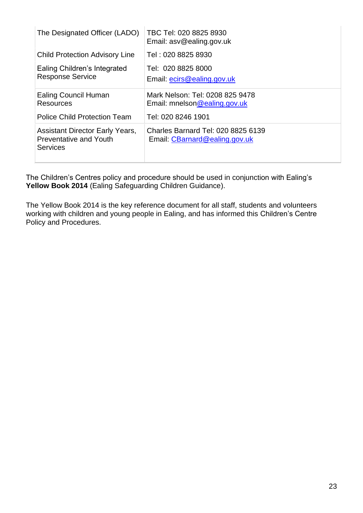| The Designated Officer (LADO)                                                              | TBC Tel: 020 8825 8930<br>Email: asv@ealing.gov.uk                  |
|--------------------------------------------------------------------------------------------|---------------------------------------------------------------------|
| <b>Child Protection Advisory Line</b>                                                      | Tel: 020 8825 8930                                                  |
| Ealing Children's Integrated<br><b>Response Service</b>                                    | Tel: 020 8825 8000<br>Email: ecirs@ealing.gov.uk                    |
| <b>Ealing Council Human</b><br><b>Resources</b>                                            | Mark Nelson: Tel: 0208 825 9478<br>Email: mnelson@ealing.gov.uk     |
| <b>Police Child Protection Team</b>                                                        | Tel: 020 8246 1901                                                  |
| <b>Assistant Director Early Years,</b><br><b>Preventative and Youth</b><br><b>Services</b> | Charles Barnard Tel: 020 8825 6139<br>Email: CBarnard@ealing.gov.uk |

The Children's Centres policy and procedure should be used in conjunction with Ealing's **Yellow Book 2014** (Ealing Safeguarding Children Guidance).

The Yellow Book 2014 is the key reference document for all staff, students and volunteers working with children and young people in Ealing, and has informed this Children's Centre Policy and Procedures.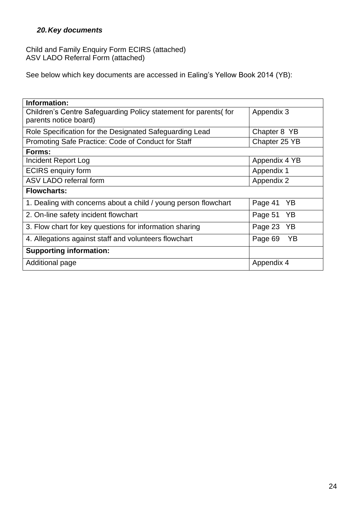#### <span id="page-23-0"></span>*20.Key documents*

Child and Family Enquiry Form ECIRS (attached) ASV LADO Referral Form (attached)

See below which key documents are accessed in Ealing's Yellow Book 2014 (YB):

| Information:                                                     |               |  |  |
|------------------------------------------------------------------|---------------|--|--|
| Children's Centre Safeguarding Policy statement for parents (for | Appendix 3    |  |  |
| parents notice board)                                            |               |  |  |
| Role Specification for the Designated Safeguarding Lead          | Chapter 8 YB  |  |  |
| Promoting Safe Practice: Code of Conduct for Staff               | Chapter 25 YB |  |  |
| Forms:                                                           |               |  |  |
| Incident Report Log                                              | Appendix 4 YB |  |  |
| <b>ECIRS</b> enquiry form                                        | Appendix 1    |  |  |
| ASV LADO referral form                                           | Appendix 2    |  |  |
| <b>Flowcharts:</b>                                               |               |  |  |
| 1. Dealing with concerns about a child / young person flowchart  | Page 41<br>YB |  |  |
| 2. On-line safety incident flowchart                             | YB<br>Page 51 |  |  |
| 3. Flow chart for key questions for information sharing          | Page 23<br>YB |  |  |
| 4. Allegations against staff and volunteers flowchart            | Page 69<br>YΒ |  |  |
| <b>Supporting information:</b>                                   |               |  |  |
| Additional page                                                  | Appendix 4    |  |  |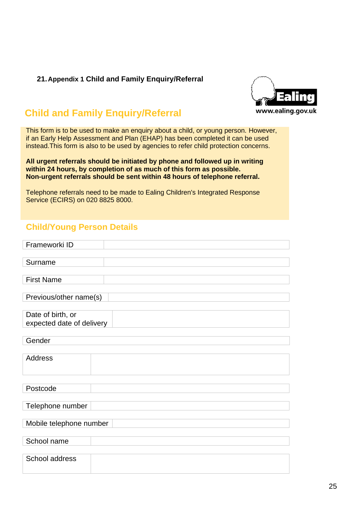#### <span id="page-24-0"></span>**21.Appendix 1 Child and Family Enquiry/Referral**



# **Child and Family Enquiry/Referral**

This form is to be used to make an enquiry about a child, or young person. However, if an Early Help Assessment and Plan (EHAP) has been completed it can be used instead.This form is also to be used by agencies to refer child protection concerns.

**All urgent referrals should be initiated by phone and followed up in writing within 24 hours, by completion of as much of this form as possible. Non-urgent referrals should be sent within 48 hours of telephone referral.**

Telephone referrals need to be made to Ealing Children's Integrated Response Service (ECIRS) on 020 8825 8000.

## **Child/Young Person Details**

| Frameworki ID             |  |
|---------------------------|--|
|                           |  |
| Surname                   |  |
|                           |  |
| <b>First Name</b>         |  |
|                           |  |
| Previous/other name(s)    |  |
|                           |  |
| Date of birth, or         |  |
| expected date of delivery |  |
|                           |  |
| Gender                    |  |
|                           |  |
| <b>Address</b>            |  |
|                           |  |
|                           |  |
| Postcode                  |  |
|                           |  |
| Telephone number          |  |
|                           |  |
| Mobile telephone number   |  |
| School name               |  |
|                           |  |
| School address            |  |
|                           |  |
|                           |  |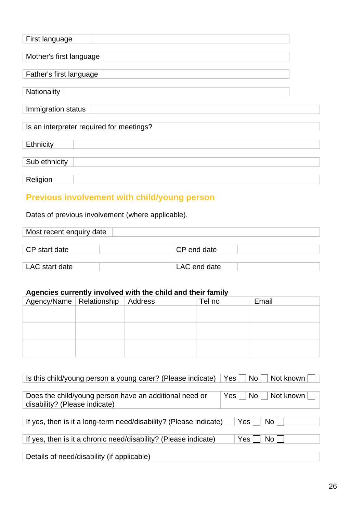| First language                           |  |  |  |  |
|------------------------------------------|--|--|--|--|
| Mother's first language                  |  |  |  |  |
| Father's first language                  |  |  |  |  |
| Nationality                              |  |  |  |  |
| Immigration status                       |  |  |  |  |
| Is an interpreter required for meetings? |  |  |  |  |
| Ethnicity                                |  |  |  |  |
| Sub ethnicity                            |  |  |  |  |
| Religion                                 |  |  |  |  |

# **Previous involvement with child/young person**

Dates of previous involvement (where applicable).

| Most recent enquiry date |              |  |  |
|--------------------------|--------------|--|--|
|                          |              |  |  |
| CP start date            | CP end date  |  |  |
|                          |              |  |  |
| LAC start date           | LAC end date |  |  |

#### **Agencies currently involved with the child and their family**

| Agency/Name   Relationship   Address |  | Tel no | Email |
|--------------------------------------|--|--------|-------|
|                                      |  |        |       |
|                                      |  |        |       |
|                                      |  |        |       |
|                                      |  |        |       |
|                                      |  |        |       |
|                                      |  |        |       |

| Is this child/young person a young carer? (Please indicate)                             | Yes     No     Not known       |
|-----------------------------------------------------------------------------------------|--------------------------------|
| Does the child/young person have an additional need or<br>disability? (Please indicate) | Yes     No     Not known       |
| If yes, then is it a long-term need/disability? (Please indicate)                       | Yes  <br>$\mathsf{No} \models$ |
| If yes, then is it a chronic need/disability? (Please indicate)                         | √ Yes <sup>+</sup><br>No L     |
| Details of need/disability (if applicable)                                              |                                |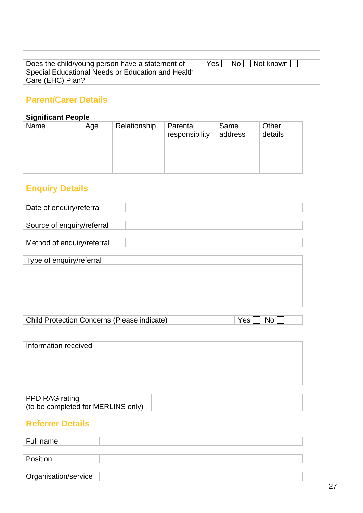| Does the child/young person have a statement of   |  |
|---------------------------------------------------|--|
| Special Educational Needs or Education and Health |  |
| Care (EHC) Plan?                                  |  |

# **Parent/Carer Details**

# **Significant People**

| Name | Age | Relationship | Parental<br>responsibility | Same<br>address | Other<br>details |
|------|-----|--------------|----------------------------|-----------------|------------------|
|      |     |              |                            |                 |                  |
|      |     |              |                            |                 |                  |
|      |     |              |                            |                 |                  |
|      |     |              |                            |                 |                  |

# **Enquiry Details**

| Date of enquiry/referral                           |  |           |
|----------------------------------------------------|--|-----------|
|                                                    |  |           |
| Source of enquiry/referral                         |  |           |
|                                                    |  |           |
| Method of enquiry/referral                         |  |           |
|                                                    |  |           |
| Type of enquiry/referral                           |  |           |
|                                                    |  |           |
|                                                    |  |           |
|                                                    |  |           |
|                                                    |  |           |
|                                                    |  |           |
|                                                    |  |           |
| <b>Child Protection Concerns (Please indicate)</b> |  | Yes<br>No |

| Information received               |  |
|------------------------------------|--|
|                                    |  |
|                                    |  |
|                                    |  |
|                                    |  |
|                                    |  |
|                                    |  |
| PPD RAG rating                     |  |
| (to be completed for MERLINS only) |  |
|                                    |  |

### **Referrer Details**

| Full name            |  |
|----------------------|--|
|                      |  |
| Position             |  |
|                      |  |
| Organisation/service |  |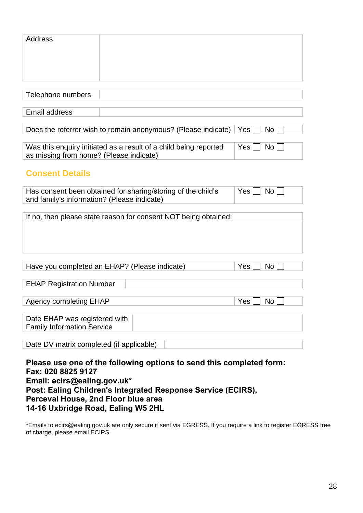| Address                                                                                                     |  |  |      |           |
|-------------------------------------------------------------------------------------------------------------|--|--|------|-----------|
|                                                                                                             |  |  |      |           |
| Telephone numbers                                                                                           |  |  |      |           |
|                                                                                                             |  |  |      |           |
| <b>Email address</b>                                                                                        |  |  |      |           |
|                                                                                                             |  |  |      |           |
| Does the referrer wish to remain anonymous? (Please indicate)                                               |  |  | Yes. | No        |
| Was this enquiry initiated as a result of a child being reported<br>as missing from home? (Please indicate) |  |  | Yes  | No        |
| <b>Consent Details</b>                                                                                      |  |  |      |           |
| Has consent been obtained for sharing/storing of the child's<br>and family's information? (Please indicate) |  |  | Yes  | No L      |
|                                                                                                             |  |  |      |           |
| If no, then please state reason for consent NOT being obtained:                                             |  |  |      |           |
|                                                                                                             |  |  |      |           |
|                                                                                                             |  |  |      |           |
|                                                                                                             |  |  |      |           |
| Have you completed an EHAP? (Please indicate)                                                               |  |  | Yes  | No        |
|                                                                                                             |  |  |      |           |
| <b>EHAP Registration Number</b>                                                                             |  |  |      |           |
|                                                                                                             |  |  |      |           |
| <b>Agency completing EHAP</b>                                                                               |  |  | Yes  | <b>No</b> |
| Date EHAP was registered with                                                                               |  |  |      |           |
| <b>Family Information Service</b>                                                                           |  |  |      |           |
|                                                                                                             |  |  |      |           |
| Date DV matrix completed (if applicable)                                                                    |  |  |      |           |
| Please use one of the following options to send this completed form:<br>Fax: 020 8825 9127                  |  |  |      |           |

## **Email: ecirs@ealing.gov.uk\* Post: Ealing Children's Integrated Response Service (ECIRS), Perceval House, 2nd Floor blue area 14-16 Uxbridge Road, Ealing W5 2HL**

\*Emails to ecirs@ealing.gov.uk are only secure if sent via EGRESS. If you require a link to register EGRESS free of charge, please email ECIRS.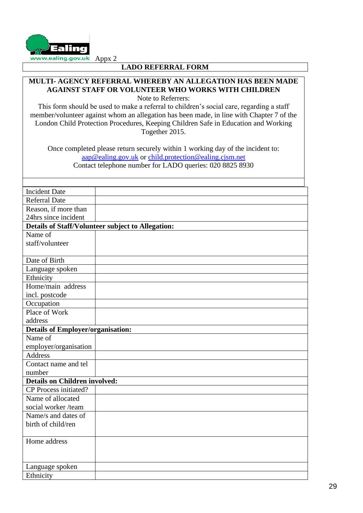

#### **LADO REFERRAL FORM**

### **MULTI- AGENCY REFERRAL WHEREBY AN ALLEGATION HAS BEEN MADE AGAINST STAFF OR VOLUNTEER WHO WORKS WITH CHILDREN**

Note to Referrers:

This form should be used to make a referral to children's social care, regarding a staff member/volunteer against whom an allegation has been made, in line with Chapter 7 of the London Child Protection Procedures, Keeping Children Safe in Education and Working Together 2015.

Once completed please return securely within 1 working day of the incident to: [aap@ealing.gov.uk](mailto:aap@ealing.gov.uk) or [child.protection@ealing.cjsm.net](mailto:child.protection@ealing.cjsm.net) Contact telephone number for LADO queries: 020 8825 8930

| <b>Incident Date</b>                     |                                                   |
|------------------------------------------|---------------------------------------------------|
| <b>Referral Date</b>                     |                                                   |
| Reason, if more than                     |                                                   |
| 24hrs since incident                     |                                                   |
|                                          | Details of Staff/Volunteer subject to Allegation: |
| Name of                                  |                                                   |
| staff/volunteer                          |                                                   |
|                                          |                                                   |
| Date of Birth                            |                                                   |
| Language spoken                          |                                                   |
| Ethnicity                                |                                                   |
| Home/main address                        |                                                   |
| incl. postcode                           |                                                   |
| Occupation                               |                                                   |
| Place of Work                            |                                                   |
| address                                  |                                                   |
| <b>Details of Employer/organisation:</b> |                                                   |
| Name of                                  |                                                   |
| employer/organisation                    |                                                   |
| <b>Address</b>                           |                                                   |
| Contact name and tel                     |                                                   |
| number                                   |                                                   |
| <b>Details on Children involved:</b>     |                                                   |
| CP Process initiated?                    |                                                   |
| Name of allocated                        |                                                   |
| social worker/team                       |                                                   |
| Name/s and dates of                      |                                                   |
| birth of child/ren                       |                                                   |
|                                          |                                                   |
| Home address                             |                                                   |
|                                          |                                                   |
|                                          |                                                   |
| Language spoken                          |                                                   |
| Ethnicity                                |                                                   |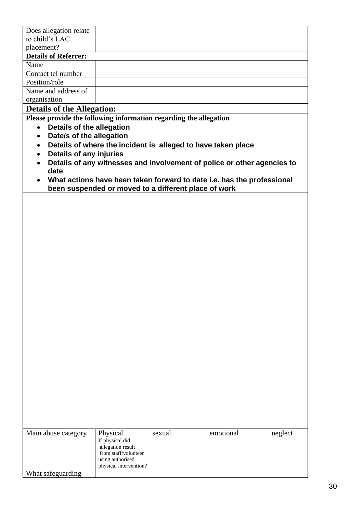| Does allegation relate                                                                                                                                    |                                                                                                                                                                                                                                                                                                                                                |
|-----------------------------------------------------------------------------------------------------------------------------------------------------------|------------------------------------------------------------------------------------------------------------------------------------------------------------------------------------------------------------------------------------------------------------------------------------------------------------------------------------------------|
| to child's LAC                                                                                                                                            |                                                                                                                                                                                                                                                                                                                                                |
| placement?                                                                                                                                                |                                                                                                                                                                                                                                                                                                                                                |
| <b>Details of Referrer:</b>                                                                                                                               |                                                                                                                                                                                                                                                                                                                                                |
| Name                                                                                                                                                      |                                                                                                                                                                                                                                                                                                                                                |
| Contact tel number                                                                                                                                        |                                                                                                                                                                                                                                                                                                                                                |
| Position/role                                                                                                                                             |                                                                                                                                                                                                                                                                                                                                                |
| Name and address of                                                                                                                                       |                                                                                                                                                                                                                                                                                                                                                |
| organisation                                                                                                                                              |                                                                                                                                                                                                                                                                                                                                                |
| <b>Details of the Allegation:</b>                                                                                                                         |                                                                                                                                                                                                                                                                                                                                                |
| Details of the allegation<br>$\bullet$<br>Date/s of the allegation<br>$\bullet$<br>$\bullet$<br>Details of any injuries<br>$\bullet$<br>$\bullet$<br>date | Please provide the following information regarding the allegation<br>Details of where the incident is alleged to have taken place<br>Details of any witnesses and involvement of police or other agencies to<br>What actions have been taken forward to date i.e. has the professional<br>been suspended or moved to a different place of work |
|                                                                                                                                                           |                                                                                                                                                                                                                                                                                                                                                |

| Main abuse category | Physical<br>If physical did<br>allegation result<br>from staff/volunteer<br>using authorised<br>physical intervention? | sexual | emotional | neglect |
|---------------------|------------------------------------------------------------------------------------------------------------------------|--------|-----------|---------|
| What safeguarding   |                                                                                                                        |        |           |         |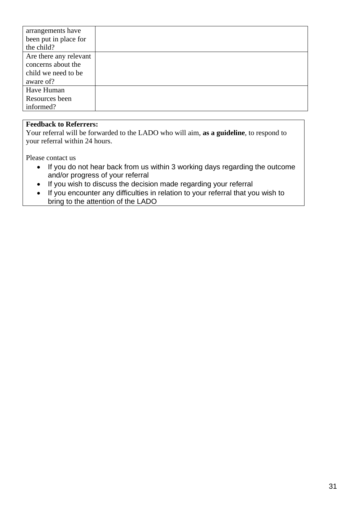| arrangements have      |  |
|------------------------|--|
| been put in place for  |  |
| the child?             |  |
| Are there any relevant |  |
| concerns about the     |  |
| child we need to be    |  |
| aware of?              |  |
| Have Human             |  |
| Resources been         |  |
| informed?              |  |

#### **Feedback to Referrers:**

Your referral will be forwarded to the LADO who will aim, **as a guideline**, to respond to your referral within 24 hours.

Please contact us

- If you do not hear back from us within 3 working days regarding the outcome and/or progress of your referral
- If you wish to discuss the decision made regarding your referral
- If you encounter any difficulties in relation to your referral that you wish to bring to the attention of the LADO